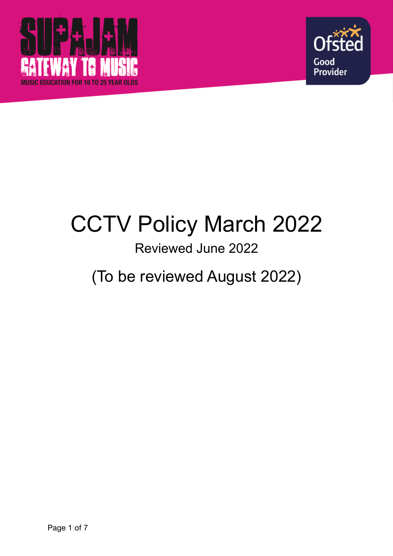



# CCTV Policy March 2022

### Reviewed June 2022

## (To be reviewed August 2022)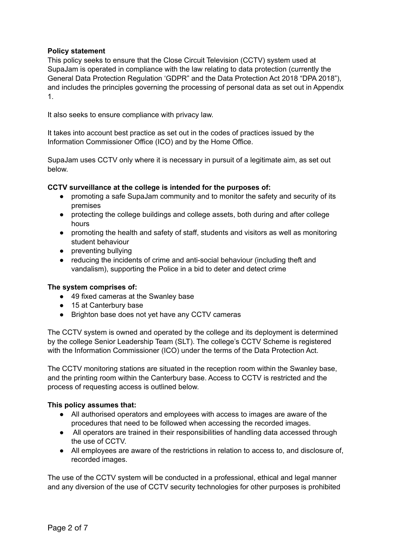#### **Policy statement**

This policy seeks to ensure that the Close Circuit Television (CCTV) system used at SupaJam is operated in compliance with the law relating to data protection (currently the General Data Protection Regulation 'GDPR" and the Data Protection Act 2018 "DPA 2018"), and includes the principles governing the processing of personal data as set out in Appendix 1.

It also seeks to ensure compliance with privacy law.

It takes into account best practice as set out in the codes of practices issued by the Information Commissioner Office (ICO) and by the Home Office.

SupaJam uses CCTV only where it is necessary in pursuit of a legitimate aim, as set out below.

#### **CCTV surveillance at the college is intended for the purposes of:**

- promoting a safe SupaJam community and to monitor the safety and security of its premises
- protecting the college buildings and college assets, both during and after college hours
- promoting the health and safety of staff, students and visitors as well as monitoring student behaviour
- preventing bullying
- reducing the incidents of crime and anti-social behaviour (including theft and vandalism), supporting the Police in a bid to deter and detect crime

#### **The system comprises of:**

- 49 fixed cameras at the Swanley base
- 15 at Canterbury base
- Brighton base does not yet have any CCTV cameras

The CCTV system is owned and operated by the college and its deployment is determined by the college Senior Leadership Team (SLT). The college's CCTV Scheme is registered with the Information Commissioner (ICO) under the terms of the Data Protection Act.

The CCTV monitoring stations are situated in the reception room within the Swanley base, and the printing room within the Canterbury base. Access to CCTV is restricted and the process of requesting access is outlined below.

#### **This policy assumes that:**

- All authorised operators and employees with access to images are aware of the procedures that need to be followed when accessing the recorded images.
- All operators are trained in their responsibilities of handling data accessed through the use of CCTV.
- All employees are aware of the restrictions in relation to access to, and disclosure of, recorded images.

The use of the CCTV system will be conducted in a professional, ethical and legal manner and any diversion of the use of CCTV security technologies for other purposes is prohibited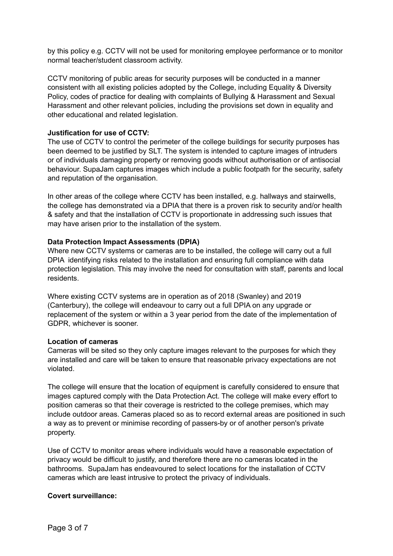by this policy e.g. CCTV will not be used for monitoring employee performance or to monitor normal teacher/student classroom activity.

CCTV monitoring of public areas for security purposes will be conducted in a manner consistent with all existing policies adopted by the College, including Equality & Diversity Policy, codes of practice for dealing with complaints of Bullying & Harassment and Sexual Harassment and other relevant policies, including the provisions set down in equality and other educational and related legislation.

#### **Justification for use of CCTV:**

The use of CCTV to control the perimeter of the college buildings for security purposes has been deemed to be justified by SLT. The system is intended to capture images of intruders or of individuals damaging property or removing goods without authorisation or of antisocial behaviour. SupaJam captures images which include a public footpath for the security, safety and reputation of the organisation.

In other areas of the college where CCTV has been installed, e.g. hallways and stairwells, the college has demonstrated via a DPIA that there is a proven risk to security and/or health & safety and that the installation of CCTV is proportionate in addressing such issues that may have arisen prior to the installation of the system.

#### **Data Protection Impact Assessments (DPIA)**

Where new CCTV systems or cameras are to be installed, the college will carry out a full DPIA identifying risks related to the installation and ensuring full compliance with data protection legislation. This may involve the need for consultation with staff, parents and local residents.

Where existing CCTV systems are in operation as of 2018 (Swanley) and 2019 (Canterbury), the college will endeavour to carry out a full DPIA on any upgrade or replacement of the system or within a 3 year period from the date of the implementation of GDPR, whichever is sooner.

#### **Location of cameras**

Cameras will be sited so they only capture images relevant to the purposes for which they are installed and care will be taken to ensure that reasonable privacy expectations are not violated.

The college will ensure that the location of equipment is carefully considered to ensure that images captured comply with the Data Protection Act. The college will make every effort to position cameras so that their coverage is restricted to the college premises, which may include outdoor areas. Cameras placed so as to record external areas are positioned in such a way as to prevent or minimise recording of passers-by or of another person's private property.

Use of CCTV to monitor areas where individuals would have a reasonable expectation of privacy would be difficult to justify, and therefore there are no cameras located in the bathrooms. SupaJam has endeavoured to select locations for the installation of CCTV cameras which are least intrusive to protect the privacy of individuals.

#### **Covert surveillance:**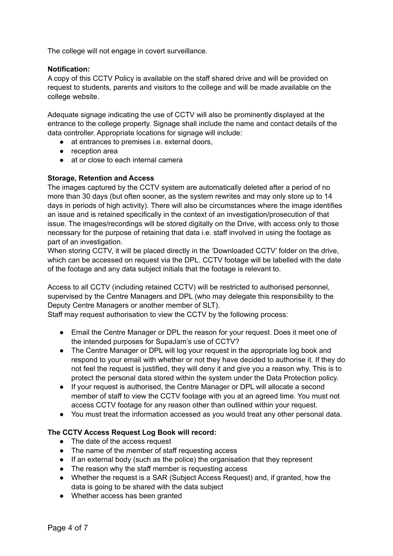The college will not engage in covert surveillance.

#### **Notification:**

A copy of this CCTV Policy is available on the staff shared drive and will be provided on request to students, parents and visitors to the college and will be made available on the college website.

Adequate signage indicating the use of CCTV will also be prominently displayed at the entrance to the college property. Signage shall include the name and contact details of the data controller. Appropriate locations for signage will include:

- at entrances to premises i.e. external doors,
- reception area
- at or close to each internal camera

#### **Storage, Retention and Access**

The images captured by the CCTV system are automatically deleted after a period of no more than 30 days (but often sooner, as the system rewrites and may only store up to 14 days in periods of high activity). There will also be circumstances where the image identifies an issue and is retained specifically in the context of an investigation/prosecution of that issue. The images/recordings will be stored digitally on the Drive, with access only to those necessary for the purpose of retaining that data i.e. staff involved in using the footage as part of an investigation.

When storing CCTV, it will be placed directly in the 'Downloaded CCTV' folder on the drive, which can be accessed on request via the DPL. CCTV footage will be labelled with the date of the footage and any data subject initials that the footage is relevant to.

Access to all CCTV (including retained CCTV) will be restricted to authorised personnel, supervised by the Centre Managers and DPL (who may delegate this responsibility to the Deputy Centre Managers or another member of SLT).

Staff may request authorisation to view the CCTV by the following process:

- Email the Centre Manager or DPL the reason for your request. Does it meet one of the intended purposes for SupaJam's use of CCTV?
- The Centre Manager or DPL will log your request in the appropriate log book and respond to your email with whether or not they have decided to authorise it. If they do not feel the request is justified, they will deny it and give you a reason why. This is to protect the personal data stored within the system under the Data Protection policy.
- If your request is authorised, the Centre Manager or DPL will allocate a second member of staff to view the CCTV footage with you at an agreed time. You must not access CCTV footage for any reason other than outlined within your request.
- You must treat the information accessed as you would treat any other personal data.

#### **The CCTV Access Request Log Book will record:**

- The date of the access request
- The name of the member of staff requesting access
- If an external body (such as the police) the organisation that they represent
- The reason why the staff member is requesting access
- Whether the request is a SAR (Subject Access Request) and, if granted, how the data is going to be shared with the data subject
- Whether access has been granted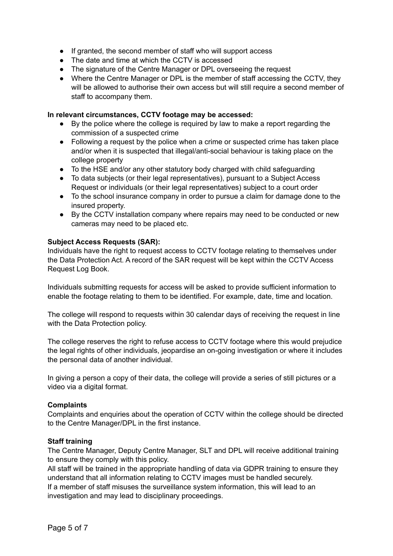- If granted, the second member of staff who will support access
- The date and time at which the CCTV is accessed
- The signature of the Centre Manager or DPL overseeing the request
- Where the Centre Manager or DPL is the member of staff accessing the CCTV, they will be allowed to authorise their own access but will still require a second member of staff to accompany them.

#### **In relevant circumstances, CCTV footage may be accessed:**

- By the police where the college is required by law to make a report regarding the commission of a suspected crime
- Following a request by the police when a crime or suspected crime has taken place and/or when it is suspected that illegal/anti-social behaviour is taking place on the college property
- To the HSE and/or any other statutory body charged with child safeguarding
- To data subjects (or their legal representatives), pursuant to a Subject Access Request or individuals (or their legal representatives) subject to a court order
- To the school insurance company in order to pursue a claim for damage done to the insured property.
- By the CCTV installation company where repairs may need to be conducted or new cameras may need to be placed etc.

#### **Subject Access Requests (SAR):**

Individuals have the right to request access to CCTV footage relating to themselves under the Data Protection Act. A record of the SAR request will be kept within the CCTV Access Request Log Book.

Individuals submitting requests for access will be asked to provide sufficient information to enable the footage relating to them to be identified. For example, date, time and location.

The college will respond to requests within 30 calendar days of receiving the request in line with the Data Protection policy.

The college reserves the right to refuse access to CCTV footage where this would prejudice the legal rights of other individuals, jeopardise an on-going investigation or where it includes the personal data of another individual.

In giving a person a copy of their data, the college will provide a series of still pictures or a video via a digital format.

#### **Complaints**

Complaints and enquiries about the operation of CCTV within the college should be directed to the Centre Manager/DPL in the first instance.

#### **Staff training**

The Centre Manager, Deputy Centre Manager, SLT and DPL will receive additional training to ensure they comply with this policy.

All staff will be trained in the appropriate handling of data via GDPR training to ensure they understand that all information relating to CCTV images must be handled securely. If a member of staff misuses the surveillance system information, this will lead to an investigation and may lead to disciplinary proceedings.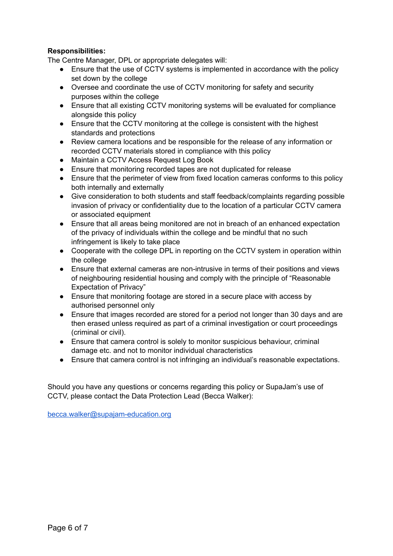#### **Responsibilities:**

The Centre Manager, DPL or appropriate delegates will:

- Ensure that the use of CCTV systems is implemented in accordance with the policy set down by the college
- Oversee and coordinate the use of CCTV monitoring for safety and security purposes within the college
- Ensure that all existing CCTV monitoring systems will be evaluated for compliance alongside this policy
- Ensure that the CCTV monitoring at the college is consistent with the highest standards and protections
- Review camera locations and be responsible for the release of any information or recorded CCTV materials stored in compliance with this policy
- Maintain a CCTV Access Request Log Book
- Ensure that monitoring recorded tapes are not duplicated for release
- Ensure that the perimeter of view from fixed location cameras conforms to this policy both internally and externally
- Give consideration to both students and staff feedback/complaints regarding possible invasion of privacy or confidentiality due to the location of a particular CCTV camera or associated equipment
- Ensure that all areas being monitored are not in breach of an enhanced expectation of the privacy of individuals within the college and be mindful that no such infringement is likely to take place
- Cooperate with the college DPL in reporting on the CCTV system in operation within the college
- Ensure that external cameras are non-intrusive in terms of their positions and views of neighbouring residential housing and comply with the principle of "Reasonable Expectation of Privacy"
- Ensure that monitoring footage are stored in a secure place with access by authorised personnel only
- Ensure that images recorded are stored for a period not longer than 30 days and are then erased unless required as part of a criminal investigation or court proceedings (criminal or civil).
- Ensure that camera control is solely to monitor suspicious behaviour, criminal damage etc. and not to monitor individual characteristics
- Ensure that camera control is not infringing an individual's reasonable expectations.

Should you have any questions or concerns regarding this policy or SupaJam's use of CCTV, please contact the Data Protection Lead (Becca Walker):

[becca.walker@supajam-education.org](mailto:becca.walker@supajam-education.org)